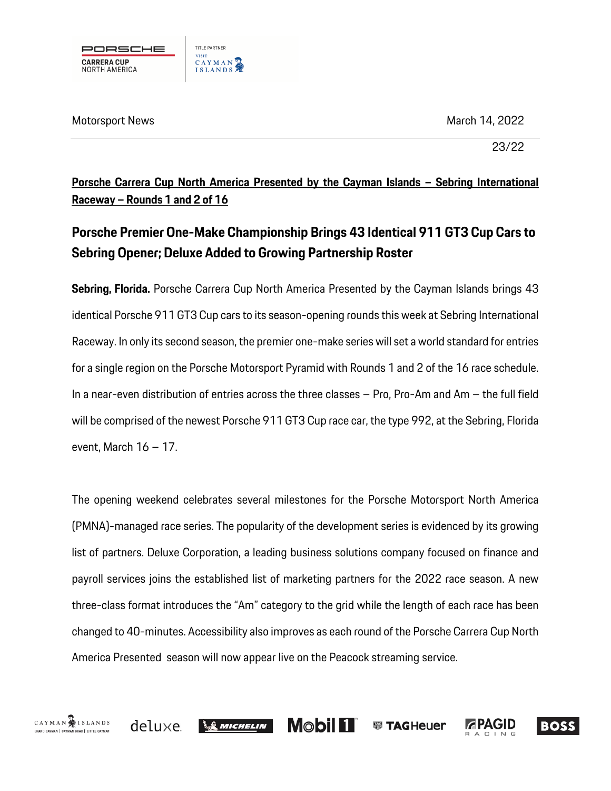

Motorsport News March 14, 2022

23/22

**Porsche Carrera Cup North America Presented by the Cayman Islands – Sebring International Raceway – Rounds 1 and 2 of 16**

# **Porsche Premier One-Make Championship Brings 43 Identical 911 GT3 Cup Cars to Sebring Opener; Deluxe Added to Growing Partnership Roster**

**Sebring, Florida.** Porsche Carrera Cup North America Presented by the Cayman Islands brings 43 identical Porsche 911 GT3 Cup cars to its season-opening rounds this week at Sebring International Raceway. In only its second season, the premier one-make series will set a world standard for entries for a single region on the Porsche Motorsport Pyramid with Rounds 1 and 2 of the 16 race schedule. In a near-even distribution of entries across the three classes – Pro, Pro-Am and Am – the full field will be comprised of the newest Porsche 911 GT3 Cup race car, the type 992, at the Sebring, Florida event, March 16 – 17.

The opening weekend celebrates several milestones for the Porsche Motorsport North America (PMNA)-managed race series. The popularity of the development series is evidenced by its growing list of partners. Deluxe Corporation, a leading business solutions company focused on finance and payroll services joins the established list of marketing partners for the 2022 race season. A new three-class format introduces the "Am" category to the grid while the length of each race has been changed to 40-minutes. Accessibility also improves as each round of the Porsche Carrera Cup North America Presented season will now appear live on the Peacock streaming service.

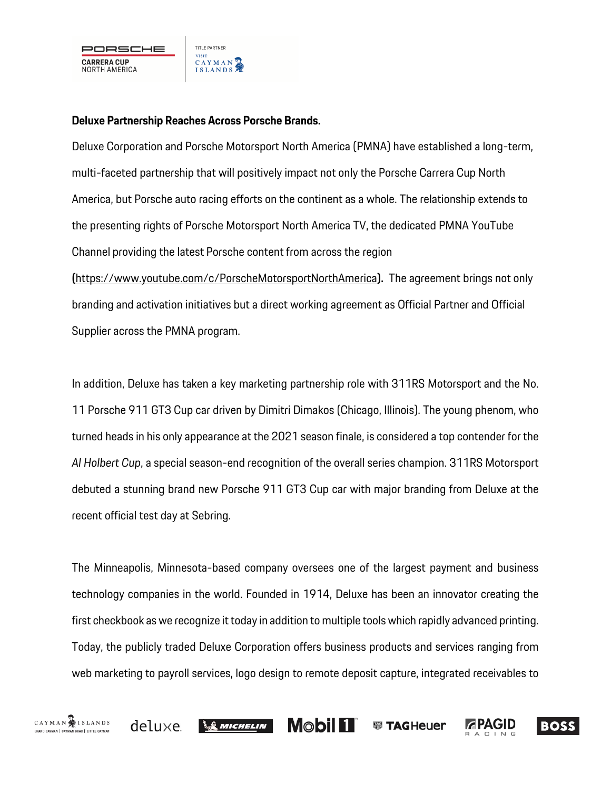

#### **Deluxe Partnership Reaches Across Porsche Brands.**

Deluxe Corporation and Porsche Motorsport North America (PMNA) have established a long-term, multi-faceted partnership that will positively impact not only the Porsche Carrera Cup North America, but Porsche auto racing efforts on the continent as a whole. The relationship extends to the presenting rights of Porsche Motorsport North America TV, the dedicated PMNA YouTube Channel providing the latest Porsche content from across the region

**(**https://www.youtube.com/c/PorscheMotorsportNorthAmerica**).** The agreement brings not only branding and activation initiatives but a direct working agreement as Official Partner and Official Supplier across the PMNA program.

In addition, Deluxe has taken a key marketing partnership role with 311RS Motorsport and the No. 11 Porsche 911 GT3 Cup car driven by Dimitri Dimakos (Chicago, Illinois). The young phenom, who turned heads in his only appearance at the 2021 season finale, is considered a top contender for the *Al Holbert Cup*, a special season-end recognition of the overall series champion. 311RS Motorsport debuted a stunning brand new Porsche 911 GT3 Cup car with major branding from Deluxe at the recent official test day at Sebring.

The Minneapolis, Minnesota-based company oversees one of the largest payment and business technology companies in the world. Founded in 1914, Deluxe has been an innovator creating the first checkbook as we recognize it today in addition to multiple toolswhich rapidly advanced printing. Today, the publicly traded Deluxe Corporation offers business products and services ranging from web marketing to payroll services, logo design to remote deposit capture, integrated receivables to











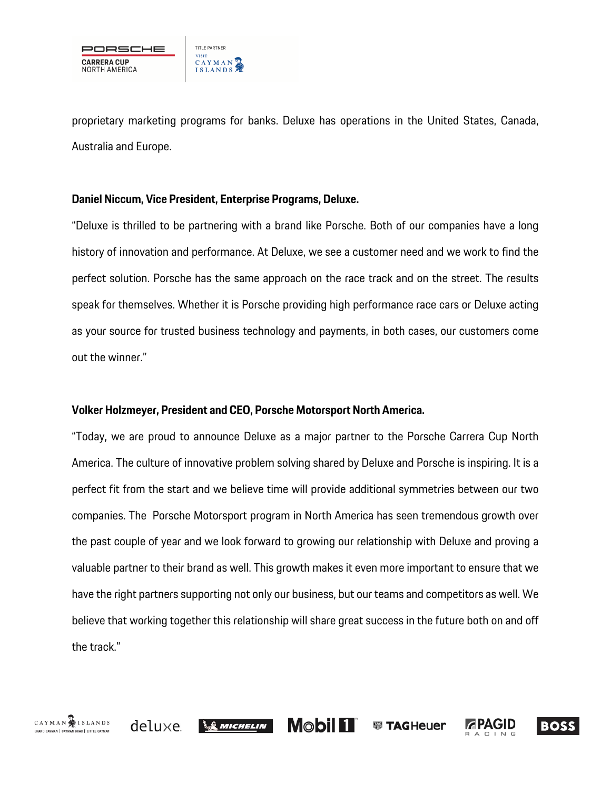

proprietary marketing programs for banks. Deluxe has operations in the United States, Canada, Australia and Europe.

### **Daniel Niccum, Vice President, Enterprise Programs, Deluxe.**

"Deluxe is thrilled to be partnering with a brand like Porsche. Both of our companies have a long history of innovation and performance. At Deluxe, we see a customer need and we work to find the perfect solution. Porsche has the same approach on the race track and on the street. The results speak for themselves. Whether it is Porsche providing high performance race cars or Deluxe acting as your source for trusted business technology and payments, in both cases, our customers come out the winner."

### **Volker Holzmeyer, President and CEO, Porsche Motorsport North America.**

"Today, we are proud to announce Deluxe as a major partner to the Porsche Carrera Cup North America. The culture of innovative problem solving shared by Deluxe and Porsche is inspiring. It is a perfect fit from the start and we believe time will provide additional symmetries between our two companies. The Porsche Motorsport program in North America has seen tremendous growth over the past couple of year and we look forward to growing our relationship with Deluxe and proving a valuable partner to their brand as well. This growth makes it even more important to ensure that we have the right partners supporting not only our business, but our teams and competitors as well. We believe that working together this relationship will share great success in the future both on and off the track."

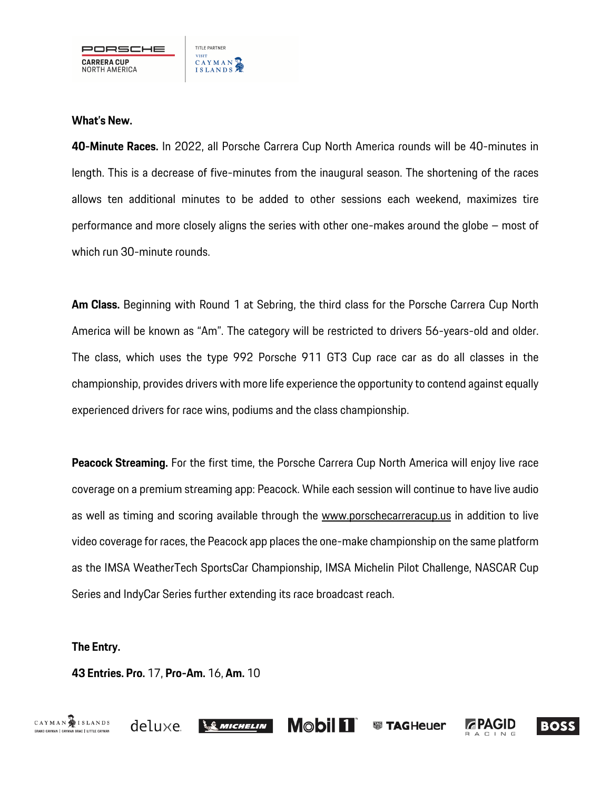

## **What's New.**

**40-Minute Races.** In 2022, all Porsche Carrera Cup North America rounds will be 40-minutes in length. This is a decrease of five-minutes from the inaugural season. The shortening of the races allows ten additional minutes to be added to other sessions each weekend, maximizes tire performance and more closely aligns the series with other one-makes around the globe – most of which run 30-minute rounds.

**Am Class.** Beginning with Round 1 at Sebring, the third class for the Porsche Carrera Cup North America will be known as "Am". The category will be restricted to drivers 56-years-old and older. The class, which uses the type 992 Porsche 911 GT3 Cup race car as do all classes in the championship, provides drivers with more life experience the opportunity to contend against equally experienced drivers for race wins, podiums and the class championship.

**Peacock Streaming.** For the first time, the Porsche Carrera Cup North America will enjoy live race coverage on a premium streaming app: Peacock. While each session will continue to have live audio as well as timing and scoring available through the www.porschecarreracup.us in addition to live video coverage for races, the Peacock app places the one-make championship on the same platform as the IMSA WeatherTech SportsCar Championship, IMSA Michelin Pilot Challenge, NASCAR Cup Series and IndyCar Series further extending its race broadcast reach.

**The Entry.**

**43 Entries. Pro.** 17, **Pro-Am.** 16, **Am.** 10









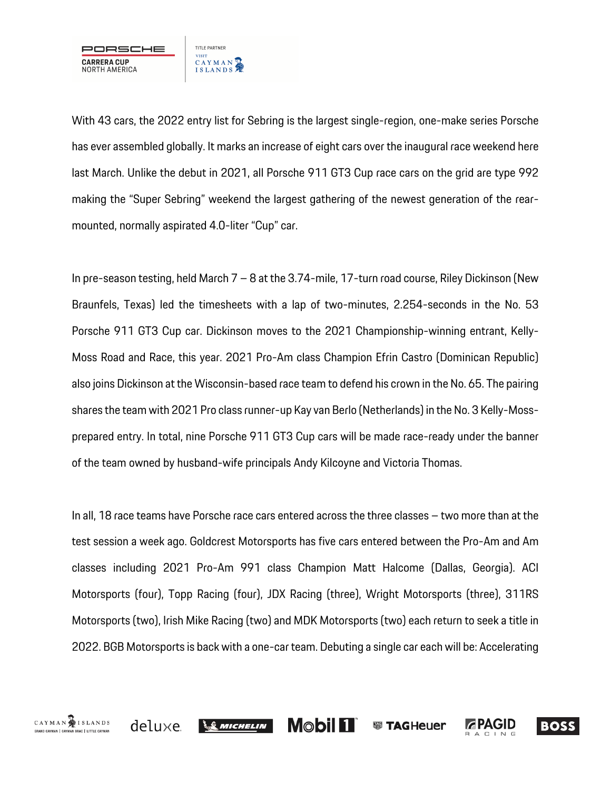

With 43 cars, the 2022 entry list for Sebring is the largest single-region, one-make series Porsche has ever assembled globally. It marks an increase of eight cars over the inaugural race weekend here last March. Unlike the debut in 2021, all Porsche 911 GT3 Cup race cars on the grid are type 992 making the "Super Sebring" weekend the largest gathering of the newest generation of the rearmounted, normally aspirated 4.0-liter "Cup" car.

In pre-season testing, held March 7 – 8 at the 3.74-mile, 17-turn road course, Riley Dickinson (New Braunfels, Texas) led the timesheets with a lap of two-minutes, 2.254-seconds in the No. 53 Porsche 911 GT3 Cup car. Dickinson moves to the 2021 Championship-winning entrant, Kelly-Moss Road and Race, this year. 2021 Pro-Am class Champion Efrin Castro (Dominican Republic) also joins Dickinson at the Wisconsin-based race team to defend his crown in the No. 65. The pairing shares the team with 2021 Pro class runner-up Kay van Berlo (Netherlands) in the No. 3 Kelly-Mossprepared entry. In total, nine Porsche 911 GT3 Cup cars will be made race-ready under the banner of the team owned by husband-wife principals Andy Kilcoyne and Victoria Thomas.

In all, 18 race teams have Porsche race cars entered across the three classes – two more than at the test session a week ago. Goldcrest Motorsports has five cars entered between the Pro-Am and Am classes including 2021 Pro-Am 991 class Champion Matt Halcome (Dallas, Georgia). ACI Motorsports (four), Topp Racing (four), JDX Racing (three), Wright Motorsports (three), 311RS Motorsports (two), Irish Mike Racing (two) and MDK Motorsports (two) each return to seek a title in 2022. BGB Motorsports is back with a one-car team. Debuting a single car each will be: Accelerating

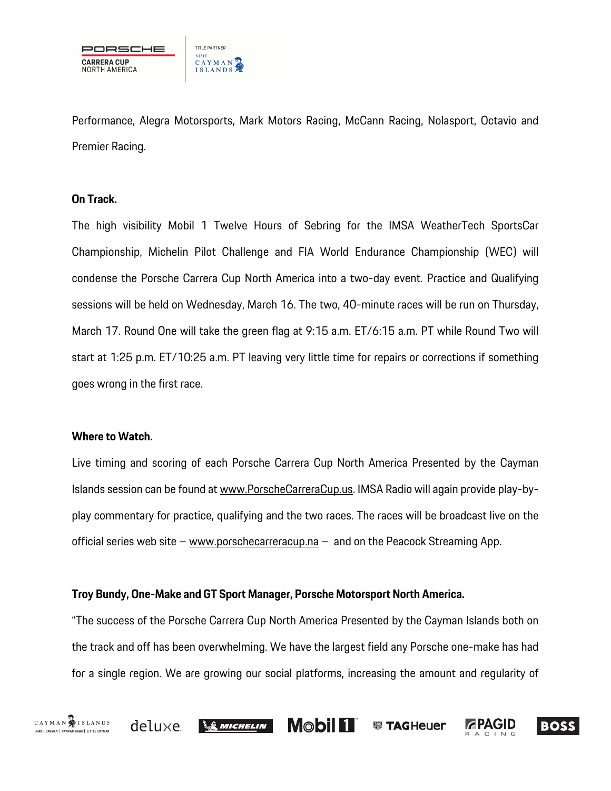

Performance, Alegra Motorsports, Mark Motors Racing, McCann Racing, Nolasport, Octavio and Premier Racing.

### **On Track.**

The high visibility Mobil 1 Twelve Hours of Sebring for the IMSA WeatherTech SportsCar Championship, Michelin Pilot Challenge and FIA World Endurance Championship (WEC) will condense the Porsche Carrera Cup North America into a two-day event. Practice and Qualifying sessions will be held on Wednesday, March 16. The two, 40-minute races will be run on Thursday, March 17. Round One will take the green flag at 9:15 a.m. ET/6:15 a.m. PT while Round Two will start at 1:25 p.m. ET/10:25 a.m. PT leaving very little time for repairs or corrections if something goes wrong in the first race.

### **Where to Watch.**

Live timing and scoring of each Porsche Carrera Cup North America Presented by the Cayman Islands session can be found at www.PorscheCarreraCup.us. IMSA Radio will again provide play-byplay commentary for practice, qualifying and the two races. The races will be broadcast live on the official series web site – www.porschecarreracup.na – and on the Peacock Streaming App.

### **Troy Bundy, One-Make and GT Sport Manager, Porsche Motorsport North America.**

"The success of the Porsche Carrera Cup North America Presented by the Cayman Islands both on the track and off has been overwhelming. We have the largest field any Porsche one-make has had for a single region. We are growing our social platforms, increasing the amount and regularity of



deluxe

**WE MICHELIN Mobil 1 W** TAGHEUER



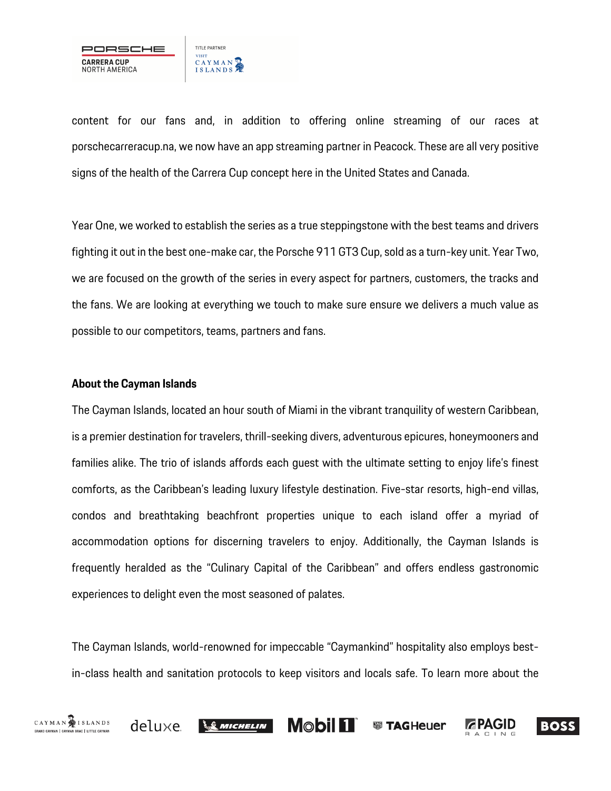

content for our fans and, in addition to offering online streaming of our races at porschecarreracup.na, we now have an app streaming partner in Peacock. These are all very positive signs of the health of the Carrera Cup concept here in the United States and Canada.

Year One, we worked to establish the series as a true steppingstone with the best teams and drivers fighting it out in the best one-make car, the Porsche 911 GT3 Cup, sold as a turn-key unit. Year Two, we are focused on the growth of the series in every aspect for partners, customers, the tracks and the fans. We are looking at everything we touch to make sure ensure we delivers a much value as possible to our competitors, teams, partners and fans.

### **About the Cayman Islands**

The Cayman Islands, located an hour south of Miami in the vibrant tranquility of western Caribbean, is a premier destination for travelers, thrill-seeking divers, adventurous epicures, honeymooners and families alike. The trio of islands affords each guest with the ultimate setting to enjoy life's finest comforts, as the Caribbean's leading luxury lifestyle destination. Five-star resorts, high-end villas, condos and breathtaking beachfront properties unique to each island offer a myriad of accommodation options for discerning travelers to enjoy. Additionally, the Cayman Islands is frequently heralded as the "Culinary Capital of the Caribbean" and offers endless gastronomic experiences to delight even the most seasoned of palates.

The Cayman Islands, world-renowned for impeccable "Caymankind" hospitality also employs bestin-class health and sanitation protocols to keep visitors and locals safe. To learn more about the